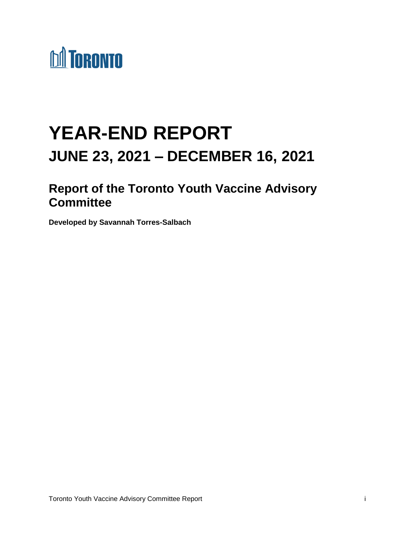

# **YEAR-END REPORT JUNE 23, 2021 – DECEMBER 16, 2021**

## **Report of the Toronto Youth Vaccine Advisory Committee**

**Developed by Savannah Torres-Salbach**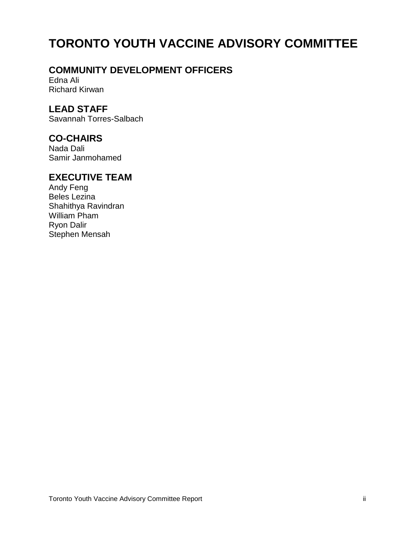## **TORONTO YOUTH VACCINE ADVISORY COMMITTEE**

## **COMMUNITY DEVELOPMENT OFFICERS**

Edna Ali Richard Kirwan

## **LEAD STAFF**

Savannah Torres-Salbach

### **CO-CHAIRS**

Nada Dali Samir Janmohamed

## **EXECUTIVE TEAM**

Andy Feng Beles Lezina Shahithya Ravindran William Pham Ryon Dalir Stephen Mensah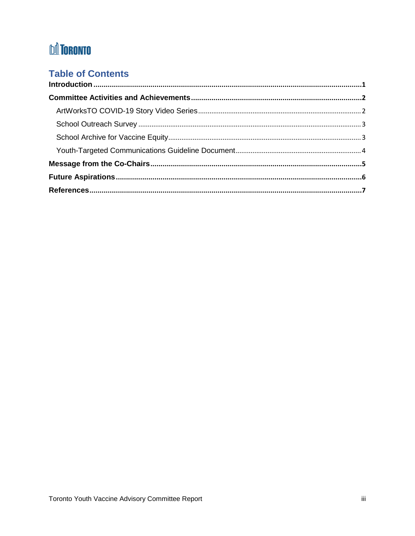## **DA TORONTO**

## **Table of Contents**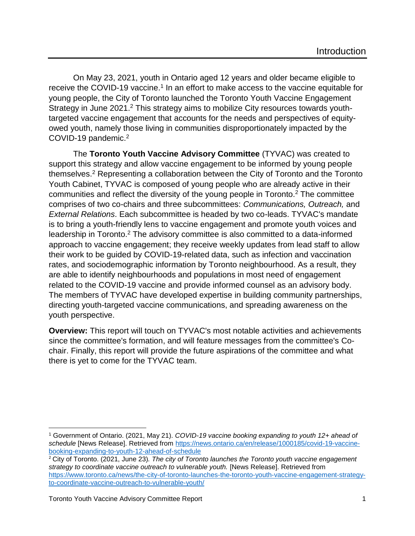<span id="page-3-0"></span>On May 23, 2021, youth in Ontario aged 12 years and older became eligible to receive the COVID-19 vaccine.<sup>1</sup> In an effort to make access to the vaccine equitable for young people, the City of Toronto launched the Toronto Youth Vaccine Engagement Strategy in June 2021.<sup>2</sup> This strategy aims to mobilize City resources towards youthtargeted vaccine engagement that accounts for the needs and perspectives of equityowed youth, namely those living in communities disproportionately impacted by the COVID-19 pandemic.<sup>2</sup>

The **Toronto Youth Vaccine Advisory Committee** (TYVAC) was created to support this strategy and allow vaccine engagement to be informed by young people themselves.<sup>2</sup> Representing a collaboration between the City of Toronto and the Toronto Youth Cabinet, TYVAC is composed of young people who are already active in their communities and reflect the diversity of the young people in Toronto.<sup>2</sup> The committee comprises of two co-chairs and three subcommittees: *Communications, Outreach,* and *External Relations*. Each subcommittee is headed by two co-leads. TYVAC's mandate is to bring a youth-friendly lens to vaccine engagement and promote youth voices and leadership in Toronto.<sup>2</sup> The advisory committee is also committed to a data-informed approach to vaccine engagement; they receive weekly updates from lead staff to allow their work to be guided by COVID-19-related data, such as infection and vaccination rates, and sociodemographic information by Toronto neighbourhood. As a result, they are able to identify neighbourhoods and populations in most need of engagement related to the COVID-19 vaccine and provide informed counsel as an advisory body. The members of TYVAC have developed expertise in building community partnerships, directing youth-targeted vaccine communications, and spreading awareness on the youth perspective.

**Overview:** This report will touch on TYVAC's most notable activities and achievements since the committee's formation, and will feature messages from the committee's Cochair. Finally, this report will provide the future aspirations of the committee and what there is yet to come for the TYVAC team.

 $\overline{\phantom{a}}$ <sup>1</sup> Government of Ontario. (2021, May 21). *COVID-19 vaccine booking expanding to youth 12+ ahead of schedule* [News Release]. Retrieved from [https://news.ontario.ca/en/release/1000185/covid-19-vaccine](https://news.ontario.ca/en/release/1000185/covid-19-vaccine-booking-expanding-to-youth-12-ahead-of-schedule)[booking-expanding-to-youth-12-ahead-of-schedule](https://news.ontario.ca/en/release/1000185/covid-19-vaccine-booking-expanding-to-youth-12-ahead-of-schedule)

<sup>2</sup> City of Toronto. (2021, June 23)*. The city of Toronto launches the Toronto youth vaccine engagement strategy to coordinate vaccine outreach to vulnerable youth.* [News Release]. Retrieved from [https://www.toronto.ca/news/the-city-of-toronto-launches-the-toronto-youth-vaccine-engagement-strategy](https://www.toronto.ca/news/the-city-of-toronto-launches-the-toronto-youth-vaccine-engagement-strategy-to-coordinate-vaccine-outreach-to-vulnerable-youth/)[to-coordinate-vaccine-outreach-to-vulnerable-youth/](https://www.toronto.ca/news/the-city-of-toronto-launches-the-toronto-youth-vaccine-engagement-strategy-to-coordinate-vaccine-outreach-to-vulnerable-youth/)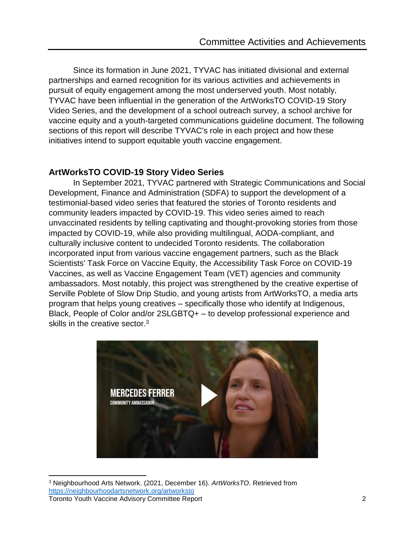<span id="page-4-0"></span>Since its formation in June 2021, TYVAC has initiated divisional and external partnerships and earned recognition for its various activities and achievements in pursuit of equity engagement among the most underserved youth. Most notably, TYVAC have been influential in the generation of the ArtWorksTO COVID-19 Story Video Series, and the development of a school outreach survey, a school archive for vaccine equity and a youth-targeted communications guideline document. The following sections of this report will describe TYVAC's role in each project and how these initiatives intend to support equitable youth vaccine engagement.

### <span id="page-4-1"></span>**ArtWorksTO COVID-19 Story Video Series**

In September 2021, TYVAC partnered with Strategic Communications and Social Development, Finance and Administration (SDFA) to support the development of a testimonial-based video series that featured the stories of Toronto residents and community leaders impacted by COVID-19. This video series aimed to reach unvaccinated residents by telling captivating and thought-provoking stories from those impacted by COVID-19, while also providing multilingual, AODA-compliant, and culturally inclusive content to undecided Toronto residents. The collaboration incorporated input from various vaccine engagement partners, such as the Black Scientists' Task Force on Vaccine Equity, the Accessibility Task Force on COVID-19 Vaccines, as well as Vaccine Engagement Team (VET) agencies and community ambassadors. Most notably, this project was strengthened by the creative expertise of Serville Poblete of Slow Drip Studio, and young artists from ArtWorksTO, a media arts program that helps young creatives – specifically those who identify at Indigenous, Black, People of Color and/or 2SLGBTQ+ – to develop professional experience and skills in the creative sector.<sup>3</sup>



 $\overline{\phantom{a}}$ <sup>3</sup> Neighbourhood Arts Network. (2021, December 16). *ArtWorksTO*. Retrieved from <https://neighbourhoodartsnetwork.org/artworksto>

Toronto Youth Vaccine Advisory Committee Report 2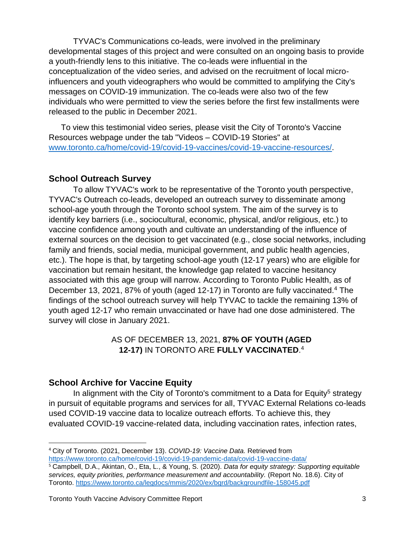TYVAC's Communications co-leads, were involved in the preliminary developmental stages of this project and were consulted on an ongoing basis to provide a youth-friendly lens to this initiative. The co-leads were influential in the conceptualization of the video series, and advised on the recruitment of local microinfluencers and youth videographers who would be committed to amplifying the City's messages on COVID-19 immunization. The co-leads were also two of the few individuals who were permitted to view the series before the first few installments were released to the public in December 2021.

To view this testimonial video series, please visit the City of Toronto's Vaccine Resources webpage under the tab "Videos – COVID-19 Stories" at [www.toronto.ca/home/covid-19/covid-19-vaccines/covid-19-vaccine-resources/.](http://www.toronto.ca/home/covid-19/covid-19-vaccines/covid-19-vaccine-resources/)

#### <span id="page-5-0"></span>**School Outreach Survey**

To allow TYVAC's work to be representative of the Toronto youth perspective, TYVAC's Outreach co-leads, developed an outreach survey to disseminate among school-age youth through the Toronto school system. The aim of the survey is to identify key barriers (i.e., sociocultural, economic, physical, and/or religious, etc.) to vaccine confidence among youth and cultivate an understanding of the influence of external sources on the decision to get vaccinated (e.g., close social networks, including family and friends, social media, municipal government, and public health agencies, etc.). The hope is that, by targeting school-age youth (12-17 years) who are eligible for vaccination but remain hesitant, the knowledge gap related to vaccine hesitancy associated with this age group will narrow. According to Toronto Public Health, as of December 13, 2021, 87% of youth (aged 12-17) in Toronto are fully vaccinated.<sup>4</sup> The findings of the school outreach survey will help TYVAC to tackle the remaining 13% of youth aged 12-17 who remain unvaccinated or have had one dose administered. The survey will close in January 2021.

### AS OF DECEMBER 13, 2021, **87% OF YOUTH (AGED 12-17)** IN TORONTO ARE **FULLY VACCINATED**. 4

### <span id="page-5-1"></span>**School Archive for Vaccine Equity**

l

In alignment with the City of Toronto's commitment to a Data for Equity<sup>5</sup> strategy in pursuit of equitable programs and services for all, TYVAC External Relations co-leads used COVID-19 vaccine data to localize outreach efforts. To achieve this, they evaluated COVID-19 vaccine-related data, including vaccination rates, infection rates,

<sup>4</sup> City of Toronto. (2021, December 13). *COVID-19: Vaccine Data.* Retrieved from

<https://www.toronto.ca/home/covid-19/covid-19-pandemic-data/covid-19-vaccine-data/> <sup>5</sup> Campbell, D.A., Akintan, O., Eta, L., & Young, S. (2020). *Data for equity strategy: Supporting equitable services, equity priorities, performance measurement and accountability.* (Report No. 18.6). City of Toronto.<https://www.toronto.ca/legdocs/mmis/2020/ex/bgrd/backgroundfile-158045.pdf>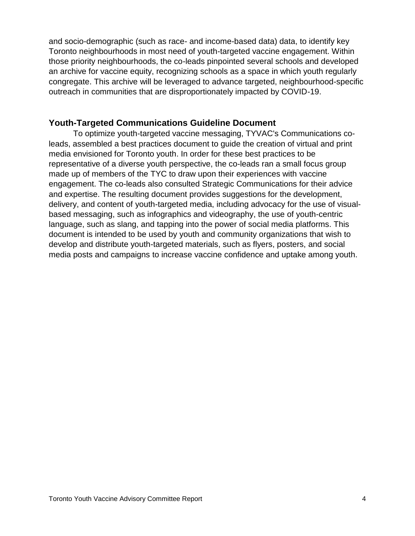and socio-demographic (such as race- and income-based data) data, to identify key Toronto neighbourhoods in most need of youth-targeted vaccine engagement. Within those priority neighbourhoods, the co-leads pinpointed several schools and developed an archive for vaccine equity, recognizing schools as a space in which youth regularly congregate. This archive will be leveraged to advance targeted, neighbourhood-specific outreach in communities that are disproportionately impacted by COVID-19.

#### <span id="page-6-0"></span>**Youth-Targeted Communications Guideline Document**

To optimize youth-targeted vaccine messaging, TYVAC's Communications coleads, assembled a best practices document to guide the creation of virtual and print media envisioned for Toronto youth. In order for these best practices to be representative of a diverse youth perspective, the co-leads ran a small focus group made up of members of the TYC to draw upon their experiences with vaccine engagement. The co-leads also consulted Strategic Communications for their advice and expertise. The resulting document provides suggestions for the development, delivery, and content of youth-targeted media, including advocacy for the use of visualbased messaging, such as infographics and videography, the use of youth-centric language, such as slang, and tapping into the power of social media platforms. This document is intended to be used by youth and community organizations that wish to develop and distribute youth-targeted materials, such as flyers, posters, and social media posts and campaigns to increase vaccine confidence and uptake among youth.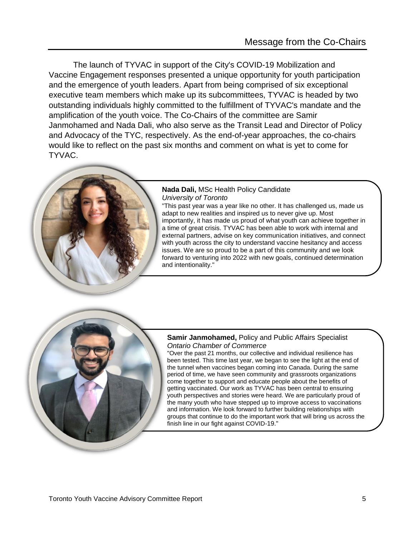<span id="page-7-0"></span>The launch of TYVAC in support of the City's COVID-19 Mobilization and Vaccine Engagement responses presented a unique opportunity for youth participation and the emergence of youth leaders. Apart from being comprised of six exceptional executive team members which make up its subcommittees, TYVAC is headed by two outstanding individuals highly committed to the fulfillment of TYVAC's mandate and the amplification of the youth voice. The Co-Chairs of the committee are Samir Janmohamed and Nada Dali, who also serve as the Transit Lead and Director of Policy and Advocacy of the TYC, respectively. As the end-of-year approaches, the co-chairs would like to reflect on the past six months and comment on what is yet to come for TYVAC.



#### **Nada Dali,** MSc Health Policy Candidate *University of Toronto*

"This past year was a year like no other. It has challenged us, made us adapt to new realities and inspired us to never give up. Most importantly, it has made us proud of what youth can achieve together in a time of great crisis. TYVAC has been able to work with internal and external partners, advise on key communication initiatives, and connect with youth across the city to understand vaccine hesitancy and access issues. We are so proud to be a part of this community and we look forward to venturing into 2022 with new goals, continued determination and intentionality."



#### **Samir Janmohamed,** Policy and Public Affairs Specialist *Ontario Chamber of Commerce*

"Over the past 21 months, our collective and individual resilience has been tested. This time last year, we began to see the light at the end of the tunnel when vaccines began coming into Canada. During the same period of time, we have seen community and grassroots organizations come together to support and educate people about the benefits of getting vaccinated. Our work as TYVAC has been central to ensuring youth perspectives and stories were heard. We are particularly proud of the many youth who have stepped up to improve access to vaccinations and information. We look forward to further building relationships with groups that continue to do the important work that will bring us across the finish line in our fight against COVID-19."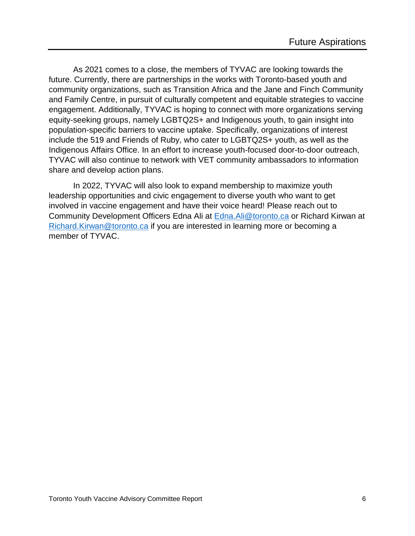<span id="page-8-0"></span>As 2021 comes to a close, the members of TYVAC are looking towards the future. Currently, there are partnerships in the works with Toronto-based youth and community organizations, such as Transition Africa and the Jane and Finch Community and Family Centre, in pursuit of culturally competent and equitable strategies to vaccine engagement. Additionally, TYVAC is hoping to connect with more organizations serving equity-seeking groups, namely LGBTQ2S+ and Indigenous youth, to gain insight into population-specific barriers to vaccine uptake. Specifically, organizations of interest include the 519 and Friends of Ruby, who cater to LGBTQ2S+ youth, as well as the Indigenous Affairs Office. In an effort to increase youth-focused door-to-door outreach, TYVAC will also continue to network with VET community ambassadors to information share and develop action plans.

In 2022, TYVAC will also look to expand membership to maximize youth leadership opportunities and civic engagement to diverse youth who want to get involved in vaccine engagement and have their voice heard! Please reach out to Community Development Officers Edna Ali at **Edna. Ali@toronto.ca** or Richard Kirwan at [Richard.Kirwan@toronto.ca](mailto:Richard.Kirwan@toronto.ca) if you are interested in learning more or becoming a member of TYVAC.